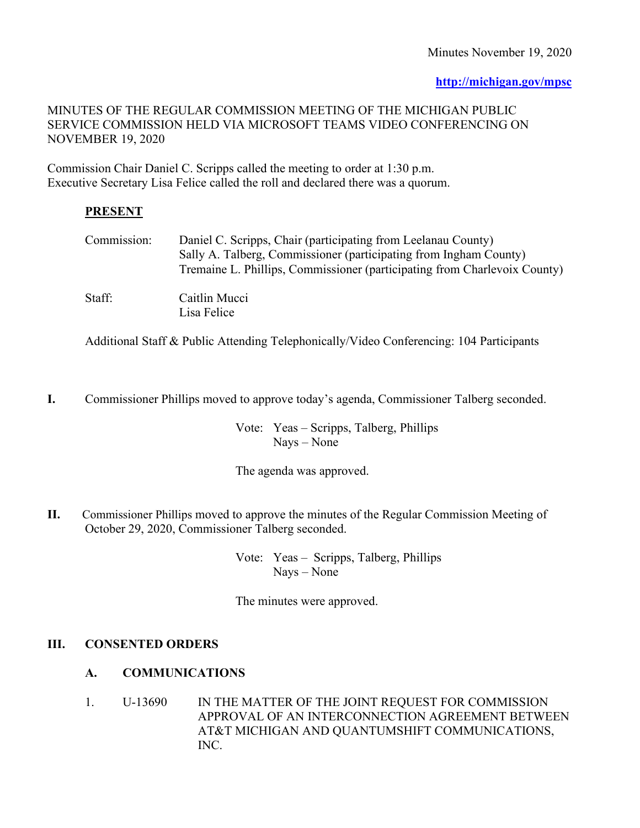**[http://michigan.gov/mpsc](http://cis.state.mi.us/mpsc)**

## MINUTES OF THE REGULAR COMMISSION MEETING OF THE MICHIGAN PUBLIC SERVICE COMMISSION HELD VIA MICROSOFT TEAMS VIDEO CONFERENCING ON NOVEMBER 19, 2020

Commission Chair Daniel C. Scripps called the meeting to order at 1:30 p.m. Executive Secretary Lisa Felice called the roll and declared there was a quorum.

# **PRESENT**

| Commission: | Daniel C. Scripps, Chair (participating from Leelanau County)<br>Sally A. Talberg, Commissioner (participating from Ingham County)<br>Tremaine L. Phillips, Commissioner (participating from Charlevoix County) |
|-------------|-----------------------------------------------------------------------------------------------------------------------------------------------------------------------------------------------------------------|
| Staff:      | Caitlin Mucci<br>Lisa Felice                                                                                                                                                                                    |

Additional Staff & Public Attending Telephonically/Video Conferencing: 104 Participants

**I.** Commissioner Phillips moved to approve today's agenda, Commissioner Talberg seconded.

Vote: Yeas – Scripps, Talberg, Phillips Nays – None

The agenda was approved.

**II.** Commissioner Phillips moved to approve the minutes of the Regular Commission Meeting of October 29, 2020, Commissioner Talberg seconded.

> Vote: Yeas – Scripps, Talberg, Phillips Nays – None

The minutes were approved.

# **III. CONSENTED ORDERS**

# **A. COMMUNICATIONS**

1. U-13690 IN THE MATTER OF THE JOINT REQUEST FOR COMMISSION APPROVAL OF AN INTERCONNECTION AGREEMENT BETWEEN AT&T MICHIGAN AND QUANTUMSHIFT COMMUNICATIONS, INC.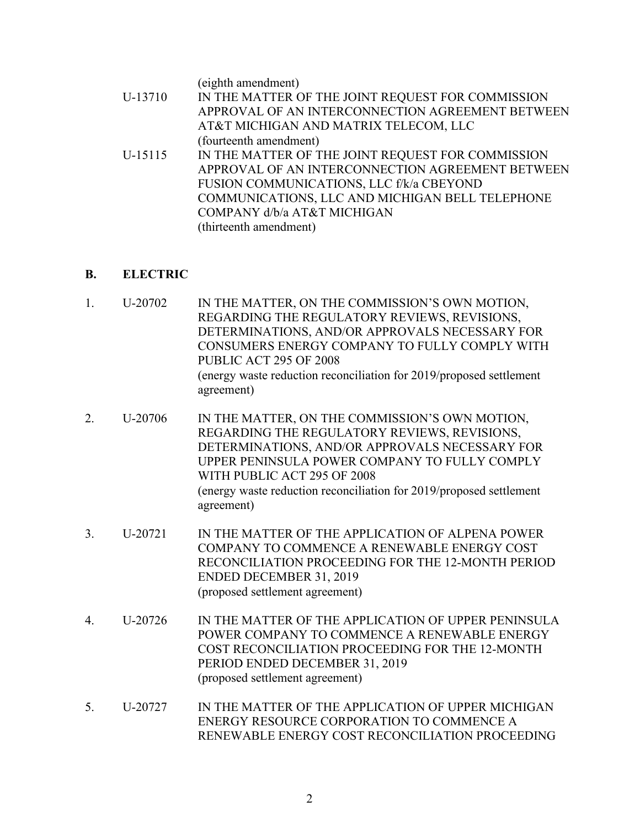(eighth amendment)

- U-13710 IN THE MATTER OF THE JOINT REQUEST FOR COMMISSION APPROVAL OF AN INTERCONNECTION AGREEMENT BETWEEN AT&T MICHIGAN AND MATRIX TELECOM, LLC (fourteenth amendment)
- U-15115 IN THE MATTER OF THE JOINT REQUEST FOR COMMISSION APPROVAL OF AN INTERCONNECTION AGREEMENT BETWEEN FUSION COMMUNICATIONS, LLC f/k/a CBEYOND COMMUNICATIONS, LLC AND MICHIGAN BELL TELEPHONE COMPANY d/b/a AT&T MICHIGAN (thirteenth amendment)

# **B. ELECTRIC**

- 1. U-20702 IN THE MATTER, ON THE COMMISSION'S OWN MOTION, REGARDING THE REGULATORY REVIEWS, REVISIONS, DETERMINATIONS, AND/OR APPROVALS NECESSARY FOR CONSUMERS ENERGY COMPANY TO FULLY COMPLY WITH PUBLIC ACT 295 OF 2008 (energy waste reduction reconciliation for 2019/proposed settlement agreement)
- 2. U-20706 IN THE MATTER, ON THE COMMISSION'S OWN MOTION, REGARDING THE REGULATORY REVIEWS, REVISIONS, DETERMINATIONS, AND/OR APPROVALS NECESSARY FOR UPPER PENINSULA POWER COMPANY TO FULLY COMPLY WITH PUBLIC ACT 295 OF 2008 (energy waste reduction reconciliation for 2019/proposed settlement agreement)
- 3. U-20721 IN THE MATTER OF THE APPLICATION OF ALPENA POWER COMPANY TO COMMENCE A RENEWABLE ENERGY COST RECONCILIATION PROCEEDING FOR THE 12-MONTH PERIOD ENDED DECEMBER 31, 2019 (proposed settlement agreement)
- 4. U-20726 IN THE MATTER OF THE APPLICATION OF UPPER PENINSULA POWER COMPANY TO COMMENCE A RENEWABLE ENERGY COST RECONCILIATION PROCEEDING FOR THE 12-MONTH PERIOD ENDED DECEMBER 31, 2019 (proposed settlement agreement)
- 5. U-20727 IN THE MATTER OF THE APPLICATION OF UPPER MICHIGAN ENERGY RESOURCE CORPORATION TO COMMENCE A RENEWABLE ENERGY COST RECONCILIATION PROCEEDING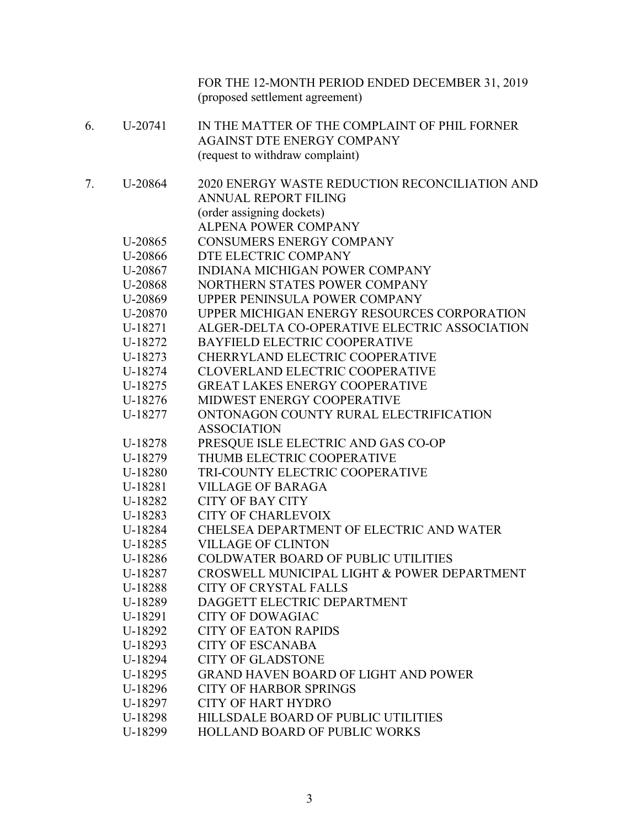|    |         | FOR THE 12-MONTH PERIOD ENDED DECEMBER 31, 2019<br>(proposed settlement agreement) |
|----|---------|------------------------------------------------------------------------------------|
| 6. | U-20741 | IN THE MATTER OF THE COMPLAINT OF PHIL FORNER                                      |
|    |         | <b>AGAINST DTE ENERGY COMPANY</b>                                                  |
|    |         | (request to withdraw complaint)                                                    |
| 7. | U-20864 | 2020 ENERGY WASTE REDUCTION RECONCILIATION AND                                     |
|    |         | <b>ANNUAL REPORT FILING</b>                                                        |
|    |         | (order assigning dockets)                                                          |
|    |         | <b>ALPENA POWER COMPANY</b>                                                        |
|    | U-20865 | <b>CONSUMERS ENERGY COMPANY</b>                                                    |
|    | U-20866 | DTE ELECTRIC COMPANY                                                               |
|    | U-20867 | <b>INDIANA MICHIGAN POWER COMPANY</b>                                              |
|    | U-20868 | NORTHERN STATES POWER COMPANY                                                      |
|    | U-20869 | UPPER PENINSULA POWER COMPANY                                                      |
|    | U-20870 | UPPER MICHIGAN ENERGY RESOURCES CORPORATION                                        |
|    | U-18271 | ALGER-DELTA CO-OPERATIVE ELECTRIC ASSOCIATION                                      |
|    | U-18272 | <b>BAYFIELD ELECTRIC COOPERATIVE</b>                                               |
|    | U-18273 | CHERRYLAND ELECTRIC COOPERATIVE                                                    |
|    | U-18274 | CLOVERLAND ELECTRIC COOPERATIVE                                                    |
|    | U-18275 | <b>GREAT LAKES ENERGY COOPERATIVE</b>                                              |
|    | U-18276 | MIDWEST ENERGY COOPERATIVE                                                         |
|    | U-18277 | ONTONAGON COUNTY RURAL ELECTRIFICATION                                             |
|    |         | <b>ASSOCIATION</b>                                                                 |
|    | U-18278 | PRESQUE ISLE ELECTRIC AND GAS CO-OP                                                |
|    | U-18279 | THUMB ELECTRIC COOPERATIVE                                                         |
|    | U-18280 | TRI-COUNTY ELECTRIC COOPERATIVE                                                    |
|    | U-18281 | <b>VILLAGE OF BARAGA</b>                                                           |
|    | U-18282 | <b>CITY OF BAY CITY</b>                                                            |
|    | U-18283 | <b>CITY OF CHARLEVOIX</b>                                                          |
|    | U-18284 | CHELSEA DEPARTMENT OF ELECTRIC AND WATER                                           |
|    | U-18285 | <b>VILLAGE OF CLINTON</b>                                                          |
|    | U-18286 | <b>COLDWATER BOARD OF PUBLIC UTILITIES</b>                                         |
|    | U-18287 | CROSWELL MUNICIPAL LIGHT & POWER DEPARTMENT                                        |
|    | U-18288 | <b>CITY OF CRYSTAL FALLS</b>                                                       |
|    | U-18289 | DAGGETT ELECTRIC DEPARTMENT                                                        |
|    | U-18291 | <b>CITY OF DOWAGIAC</b>                                                            |
|    | U-18292 | <b>CITY OF EATON RAPIDS</b>                                                        |
|    | U-18293 | <b>CITY OF ESCANABA</b>                                                            |
|    | U-18294 | <b>CITY OF GLADSTONE</b>                                                           |
|    | U-18295 | <b>GRAND HAVEN BOARD OF LIGHT AND POWER</b>                                        |
|    | U-18296 | <b>CITY OF HARBOR SPRINGS</b>                                                      |
|    | U-18297 | <b>CITY OF HART HYDRO</b>                                                          |
|    | U-18298 | HILLSDALE BOARD OF PUBLIC UTILITIES                                                |
|    | U-18299 | <b>HOLLAND BOARD OF PUBLIC WORKS</b>                                               |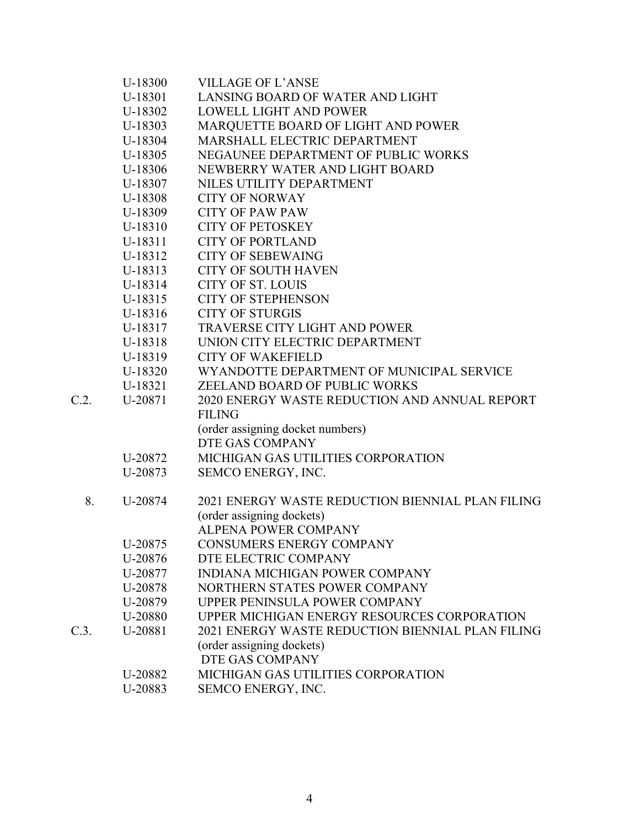|      | U-18300 | <b>VILLAGE OF L'ANSE</b>                         |
|------|---------|--------------------------------------------------|
|      | U-18301 | LANSING BOARD OF WATER AND LIGHT                 |
|      | U-18302 | <b>LOWELL LIGHT AND POWER</b>                    |
|      | U-18303 | MARQUETTE BOARD OF LIGHT AND POWER               |
|      | U-18304 | MARSHALL ELECTRIC DEPARTMENT                     |
|      | U-18305 | NEGAUNEE DEPARTMENT OF PUBLIC WORKS              |
|      | U-18306 | NEWBERRY WATER AND LIGHT BOARD                   |
|      | U-18307 | NILES UTILITY DEPARTMENT                         |
|      | U-18308 | <b>CITY OF NORWAY</b>                            |
|      | U-18309 | <b>CITY OF PAW PAW</b>                           |
|      | U-18310 | <b>CITY OF PETOSKEY</b>                          |
|      | U-18311 | <b>CITY OF PORTLAND</b>                          |
|      | U-18312 | <b>CITY OF SEBEWAING</b>                         |
|      | U-18313 | <b>CITY OF SOUTH HAVEN</b>                       |
|      | U-18314 | <b>CITY OF ST. LOUIS</b>                         |
|      | U-18315 | <b>CITY OF STEPHENSON</b>                        |
|      | U-18316 | <b>CITY OF STURGIS</b>                           |
|      | U-18317 | <b>TRAVERSE CITY LIGHT AND POWER</b>             |
|      | U-18318 | UNION CITY ELECTRIC DEPARTMENT                   |
|      | U-18319 | <b>CITY OF WAKEFIELD</b>                         |
|      | U-18320 | WYANDOTTE DEPARTMENT OF MUNICIPAL SERVICE        |
|      | U-18321 | ZEELAND BOARD OF PUBLIC WORKS                    |
| C.2. | U-20871 | 2020 ENERGY WASTE REDUCTION AND ANNUAL REPORT    |
|      |         | <b>FILING</b>                                    |
|      |         | (order assigning docket numbers)                 |
|      |         | DTE GAS COMPANY                                  |
|      | U-20872 | MICHIGAN GAS UTILITIES CORPORATION               |
|      | U-20873 | SEMCO ENERGY, INC.                               |
|      |         |                                                  |
| 8.   | U-20874 | 2021 ENERGY WASTE REDUCTION BIENNIAL PLAN FILING |
|      |         | (order assigning dockets)                        |
|      |         | <b>ALPENA POWER COMPANY</b>                      |
|      | U-20875 | <b>CONSUMERS ENERGY COMPANY</b>                  |
|      | U-20876 | DTE ELECTRIC COMPANY                             |
|      | U-20877 | <b>INDIANA MICHIGAN POWER COMPANY</b>            |
|      | U-20878 | NORTHERN STATES POWER COMPANY                    |
|      | U-20879 | UPPER PENINSULA POWER COMPANY                    |
|      | U-20880 | UPPER MICHIGAN ENERGY RESOURCES CORPORATION      |
| C.3. | U-20881 | 2021 ENERGY WASTE REDUCTION BIENNIAL PLAN FILING |
|      |         | (order assigning dockets)                        |
|      |         | DTE GAS COMPANY                                  |
|      | U-20882 | MICHIGAN GAS UTILITIES CORPORATION               |
|      | U-20883 | SEMCO ENERGY, INC.                               |
|      |         |                                                  |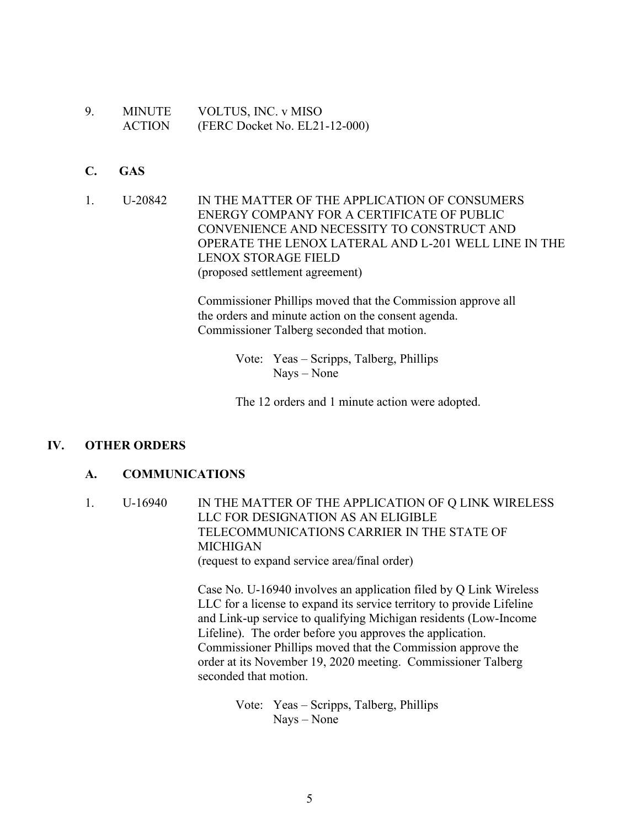- 9. MINUTE VOLTUS, INC. v MISO ACTION (FERC Docket No. EL21-12-000)
- **C. GAS**
- 1. U-20842 IN THE MATTER OF THE APPLICATION OF CONSUMERS ENERGY COMPANY FOR A CERTIFICATE OF PUBLIC CONVENIENCE AND NECESSITY TO CONSTRUCT AND OPERATE THE LENOX LATERAL AND L-201 WELL LINE IN THE LENOX STORAGE FIELD (proposed settlement agreement)

Commissioner Phillips moved that the Commission approve all the orders and minute action on the consent agenda. Commissioner Talberg seconded that motion.

> Vote: Yeas – Scripps, Talberg, Phillips Nays – None

The 12 orders and 1 minute action were adopted.

## **IV. OTHER ORDERS**

#### **A. COMMUNICATIONS**

1. U-16940 IN THE MATTER OF THE APPLICATION OF Q LINK WIRELESS LLC FOR DESIGNATION AS AN ELIGIBLE TELECOMMUNICATIONS CARRIER IN THE STATE OF MICHIGAN (request to expand service area/final order)

> Case No. U-16940 involves an application filed by Q Link Wireless LLC for a license to expand its service territory to provide Lifeline and Link-up service to qualifying Michigan residents (Low-Income Lifeline). The order before you approves the application. Commissioner Phillips moved that the Commission approve the order at its November 19, 2020 meeting. Commissioner Talberg seconded that motion.

> > Vote: Yeas – Scripps, Talberg, Phillips Nays – None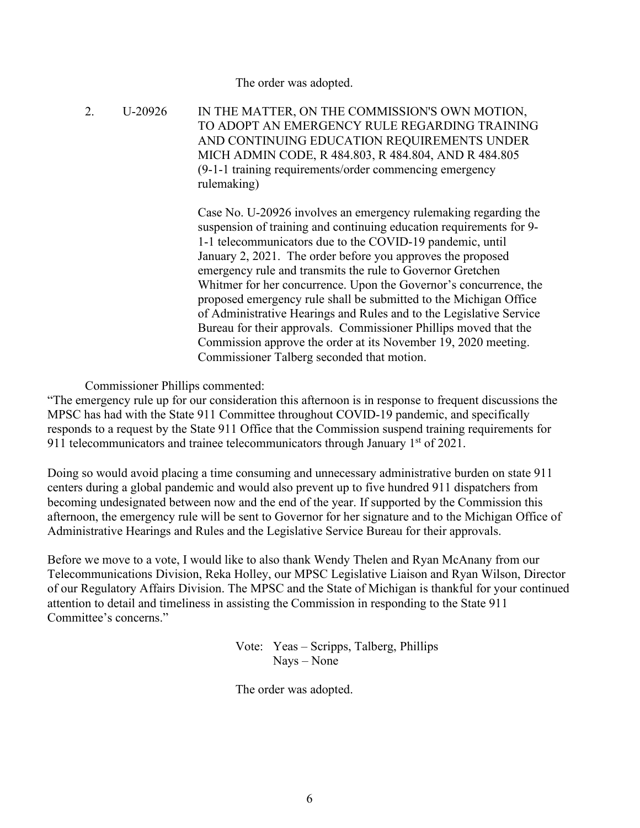The order was adopted.

2. U-20926 IN THE MATTER, ON THE COMMISSION'S OWN MOTION, TO ADOPT AN EMERGENCY RULE REGARDING TRAINING AND CONTINUING EDUCATION REQUIREMENTS UNDER MICH ADMIN CODE, R 484.803, R 484.804, AND R 484.805 (9-1-1 training requirements/order commencing emergency rulemaking)

> Case No. U-20926 involves an emergency rulemaking regarding the suspension of training and continuing education requirements for 9- 1-1 telecommunicators due to the COVID-19 pandemic, until January 2, 2021. The order before you approves the proposed emergency rule and transmits the rule to Governor Gretchen Whitmer for her concurrence. Upon the Governor's concurrence, the proposed emergency rule shall be submitted to the Michigan Office of Administrative Hearings and Rules and to the Legislative Service Bureau for their approvals. Commissioner Phillips moved that the Commission approve the order at its November 19, 2020 meeting. Commissioner Talberg seconded that motion.

Commissioner Phillips commented:

"The emergency rule up for our consideration this afternoon is in response to frequent discussions the MPSC has had with the State 911 Committee throughout COVID-19 pandemic, and specifically responds to a request by the State 911 Office that the Commission suspend training requirements for 911 telecommunicators and trainee telecommunicators through January  $1<sup>st</sup>$  of 2021.

Doing so would avoid placing a time consuming and unnecessary administrative burden on state 911 centers during a global pandemic and would also prevent up to five hundred 911 dispatchers from becoming undesignated between now and the end of the year. If supported by the Commission this afternoon, the emergency rule will be sent to Governor for her signature and to the Michigan Office of Administrative Hearings and Rules and the Legislative Service Bureau for their approvals.

Before we move to a vote, I would like to also thank Wendy Thelen and Ryan McAnany from our Telecommunications Division, Reka Holley, our MPSC Legislative Liaison and Ryan Wilson, Director of our Regulatory Affairs Division. The MPSC and the State of Michigan is thankful for your continued attention to detail and timeliness in assisting the Commission in responding to the State 911 Committee's concerns."

> Vote: Yeas – Scripps, Talberg, Phillips Nays – None

The order was adopted.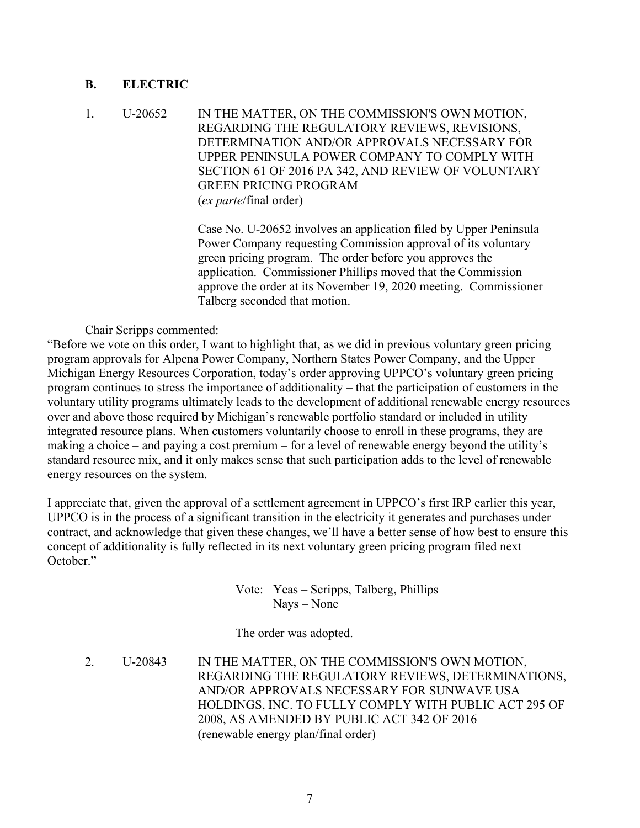## **B. ELECTRIC**

1. U-20652 IN THE MATTER, ON THE COMMISSION'S OWN MOTION, REGARDING THE REGULATORY REVIEWS, REVISIONS, DETERMINATION AND/OR APPROVALS NECESSARY FOR UPPER PENINSULA POWER COMPANY TO COMPLY WITH SECTION 61 OF 2016 PA 342, AND REVIEW OF VOLUNTARY GREEN PRICING PROGRAM (*ex parte*/final order)

> Case No. U-20652 involves an application filed by Upper Peninsula Power Company requesting Commission approval of its voluntary green pricing program. The order before you approves the application. Commissioner Phillips moved that the Commission approve the order at its November 19, 2020 meeting. Commissioner Talberg seconded that motion.

Chair Scripps commented:

"Before we vote on this order, I want to highlight that, as we did in previous voluntary green pricing program approvals for Alpena Power Company, Northern States Power Company, and the Upper Michigan Energy Resources Corporation, today's order approving UPPCO's voluntary green pricing program continues to stress the importance of additionality – that the participation of customers in the voluntary utility programs ultimately leads to the development of additional renewable energy resources over and above those required by Michigan's renewable portfolio standard or included in utility integrated resource plans. When customers voluntarily choose to enroll in these programs, they are making a choice – and paying a cost premium – for a level of renewable energy beyond the utility's standard resource mix, and it only makes sense that such participation adds to the level of renewable energy resources on the system.

I appreciate that, given the approval of a settlement agreement in UPPCO's first IRP earlier this year, UPPCO is in the process of a significant transition in the electricity it generates and purchases under contract, and acknowledge that given these changes, we'll have a better sense of how best to ensure this concept of additionality is fully reflected in its next voluntary green pricing program filed next October."

> Vote: Yeas – Scripps, Talberg, Phillips Nays – None

The order was adopted.

2. U-20843 IN THE MATTER, ON THE COMMISSION'S OWN MOTION, REGARDING THE REGULATORY REVIEWS, DETERMINATIONS, AND/OR APPROVALS NECESSARY FOR SUNWAVE USA HOLDINGS, INC. TO FULLY COMPLY WITH PUBLIC ACT 295 OF 2008, AS AMENDED BY PUBLIC ACT 342 OF 2016 (renewable energy plan/final order)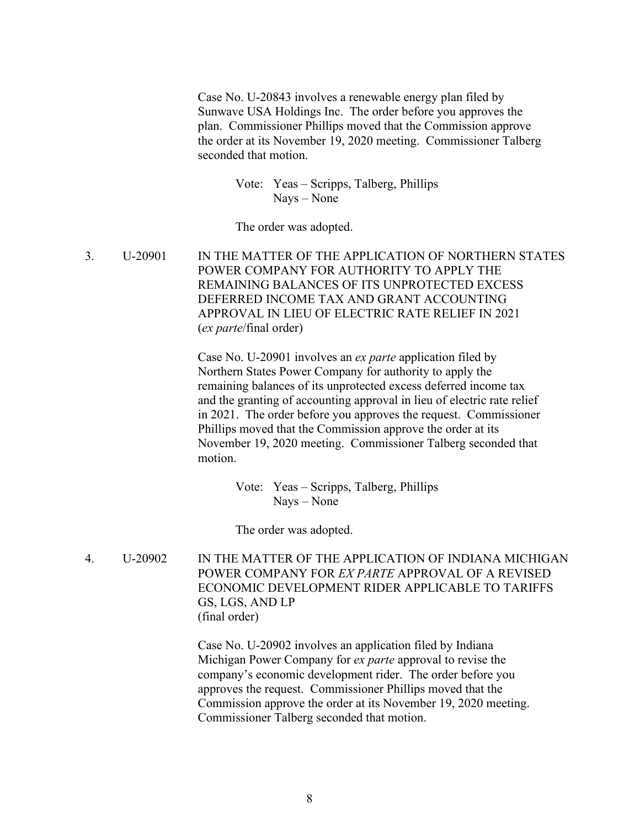Case No. U-20843 involves a renewable energy plan filed by Sunwave USA Holdings Inc. The order before you approves the plan. Commissioner Phillips moved that the Commission approve the order at its November 19, 2020 meeting. Commissioner Talberg seconded that motion.

> Vote: Yeas – Scripps, Talberg, Phillips Nays – None

The order was adopted.

3. U-20901 IN THE MATTER OF THE APPLICATION OF NORTHERN STATES POWER COMPANY FOR AUTHORITY TO APPLY THE REMAINING BALANCES OF ITS UNPROTECTED EXCESS DEFERRED INCOME TAX AND GRANT ACCOUNTING APPROVAL IN LIEU OF ELECTRIC RATE RELIEF IN 2021 (*ex parte*/final order)

> Case No. U-20901 involves an *ex parte* application filed by Northern States Power Company for authority to apply the remaining balances of its unprotected excess deferred income tax and the granting of accounting approval in lieu of electric rate relief in 2021. The order before you approves the request. Commissioner Phillips moved that the Commission approve the order at its November 19, 2020 meeting. Commissioner Talberg seconded that motion.

> > Vote: Yeas – Scripps, Talberg, Phillips Nays – None

The order was adopted.

4. U-20902 IN THE MATTER OF THE APPLICATION OF INDIANA MICHIGAN POWER COMPANY FOR *EX PARTE* APPROVAL OF A REVISED ECONOMIC DEVELOPMENT RIDER APPLICABLE TO TARIFFS GS, LGS, AND LP (final order)

> Case No. U-20902 involves an application filed by Indiana Michigan Power Company for *ex parte* approval to revise the company's economic development rider. The order before you approves the request. Commissioner Phillips moved that the Commission approve the order at its November 19, 2020 meeting. Commissioner Talberg seconded that motion.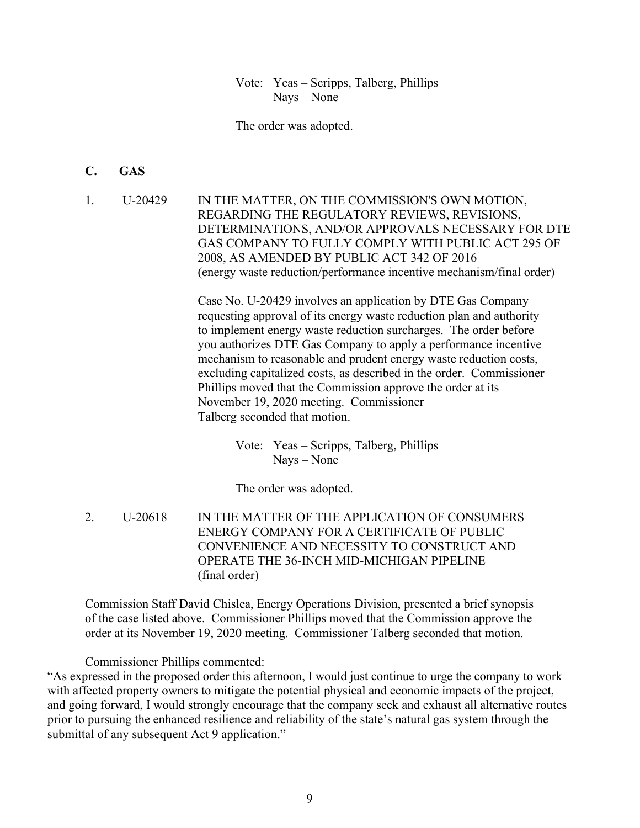Vote: Yeas – Scripps, Talberg, Phillips Nays – None

The order was adopted.

#### **C. GAS**

1. U-20429 IN THE MATTER, ON THE COMMISSION'S OWN MOTION, REGARDING THE REGULATORY REVIEWS, REVISIONS, DETERMINATIONS, AND/OR APPROVALS NECESSARY FOR DTE GAS COMPANY TO FULLY COMPLY WITH PUBLIC ACT 295 OF 2008, AS AMENDED BY PUBLIC ACT 342 OF 2016 (energy waste reduction/performance incentive mechanism/final order)

> Case No. U-20429 involves an application by DTE Gas Company requesting approval of its energy waste reduction plan and authority to implement energy waste reduction surcharges. The order before you authorizes DTE Gas Company to apply a performance incentive mechanism to reasonable and prudent energy waste reduction costs, excluding capitalized costs, as described in the order. Commissioner Phillips moved that the Commission approve the order at its November 19, 2020 meeting. Commissioner Talberg seconded that motion.

> > Vote: Yeas – Scripps, Talberg, Phillips Nays – None

The order was adopted.

2. U-20618 IN THE MATTER OF THE APPLICATION OF CONSUMERS ENERGY COMPANY FOR A CERTIFICATE OF PUBLIC CONVENIENCE AND NECESSITY TO CONSTRUCT AND OPERATE THE 36-INCH MID-MICHIGAN PIPELINE (final order)

Commission Staff David Chislea, Energy Operations Division, presented a brief synopsis of the case listed above. Commissioner Phillips moved that the Commission approve the order at its November 19, 2020 meeting. Commissioner Talberg seconded that motion.

Commissioner Phillips commented:

"As expressed in the proposed order this afternoon, I would just continue to urge the company to work with affected property owners to mitigate the potential physical and economic impacts of the project, and going forward, I would strongly encourage that the company seek and exhaust all alternative routes prior to pursuing the enhanced resilience and reliability of the state's natural gas system through the submittal of any subsequent Act 9 application."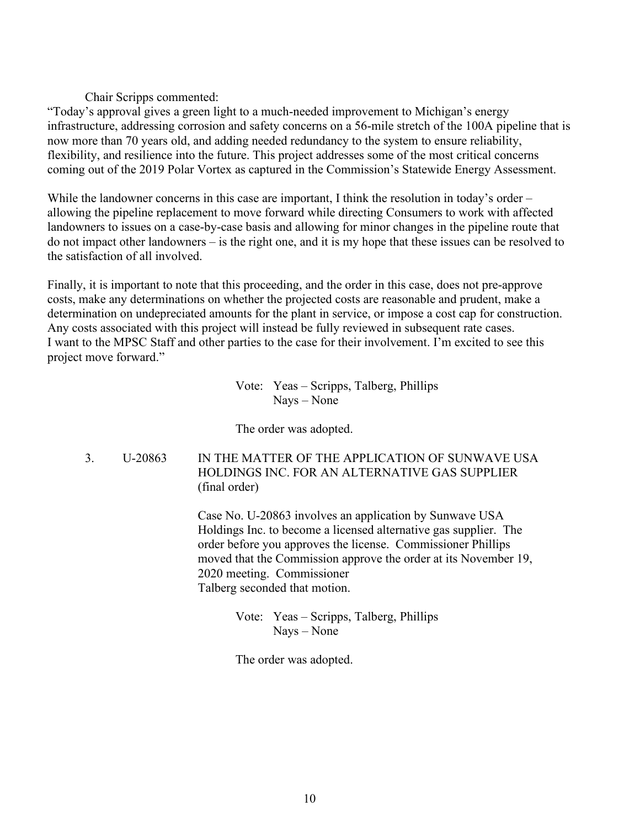Chair Scripps commented:

"Today's approval gives a green light to a much-needed improvement to Michigan's energy infrastructure, addressing corrosion and safety concerns on a 56-mile stretch of the 100A pipeline that is now more than 70 years old, and adding needed redundancy to the system to ensure reliability, flexibility, and resilience into the future. This project addresses some of the most critical concerns coming out of the 2019 Polar Vortex as captured in the Commission's Statewide Energy Assessment.

While the landowner concerns in this case are important, I think the resolution in today's order – allowing the pipeline replacement to move forward while directing Consumers to work with affected landowners to issues on a case-by-case basis and allowing for minor changes in the pipeline route that do not impact other landowners – is the right one, and it is my hope that these issues can be resolved to the satisfaction of all involved.

Finally, it is important to note that this proceeding, and the order in this case, does not pre-approve costs, make any determinations on whether the projected costs are reasonable and prudent, make a determination on undepreciated amounts for the plant in service, or impose a cost cap for construction. Any costs associated with this project will instead be fully reviewed in subsequent rate cases. I want to the MPSC Staff and other parties to the case for their involvement. I'm excited to see this project move forward."

> Vote: Yeas – Scripps, Talberg, Phillips Nays – None

The order was adopted.

3. U-20863 IN THE MATTER OF THE APPLICATION OF SUNWAVE USA HOLDINGS INC. FOR AN ALTERNATIVE GAS SUPPLIER (final order)

> Case No. U-20863 involves an application by Sunwave USA Holdings Inc. to become a licensed alternative gas supplier. The order before you approves the license. Commissioner Phillips moved that the Commission approve the order at its November 19, 2020 meeting. Commissioner Talberg seconded that motion.

> > Vote: Yeas – Scripps, Talberg, Phillips Nays – None

The order was adopted.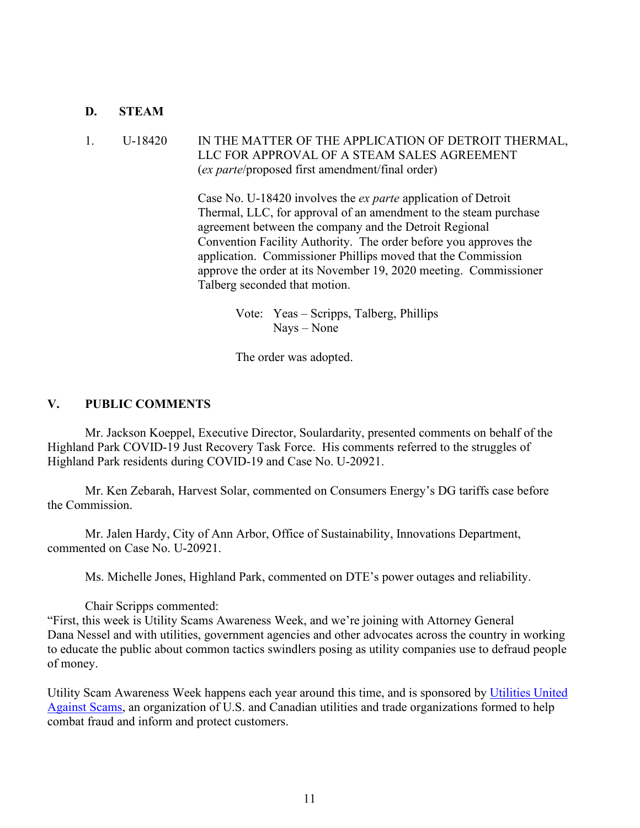#### **D. STEAM**

## 1. U-18420 IN THE MATTER OF THE APPLICATION OF DETROIT THERMAL, LLC FOR APPROVAL OF A STEAM SALES AGREEMENT (*ex parte*/proposed first amendment/final order)

Case No. U-18420 involves the *ex parte* application of Detroit Thermal, LLC, for approval of an amendment to the steam purchase agreement between the company and the Detroit Regional Convention Facility Authority. The order before you approves the application. Commissioner Phillips moved that the Commission approve the order at its November 19, 2020 meeting. Commissioner Talberg seconded that motion.

> Vote: Yeas – Scripps, Talberg, Phillips Nays – None

The order was adopted.

### **V. PUBLIC COMMENTS**

Mr. Jackson Koeppel, Executive Director, Soulardarity, presented comments on behalf of the Highland Park COVID-19 Just Recovery Task Force. His comments referred to the struggles of Highland Park residents during COVID-19 and Case No. U-20921.

Mr. Ken Zebarah, Harvest Solar, commented on Consumers Energy's DG tariffs case before the Commission.

Mr. Jalen Hardy, City of Ann Arbor, Office of Sustainability, Innovations Department, commented on Case No. U-20921.

Ms. Michelle Jones, Highland Park, commented on DTE's power outages and reliability.

Chair Scripps commented:

"First, this week is Utility Scams Awareness Week, and we're joining with Attorney General Dana Nessel and with utilities, government agencies and other advocates across the country in working to educate the public about common tactics swindlers posing as utility companies use to defraud people of money.

Utility Scam Awareness Week happens each year around this time, and is sponsored by [Utilities United](https://www.utilitiesunited.org/)  [Against Scams,](https://www.utilitiesunited.org/) an organization of U.S. and Canadian utilities and trade organizations formed to help combat fraud and inform and protect customers.